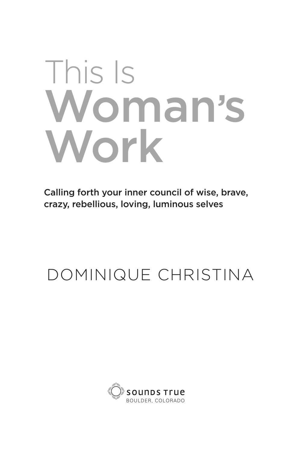# This Is Woman's Work

Calling forth your inner council of wise, brave, crazy, rebellious, loving, luminous selves

# DOMINIQUE CHRISTINA

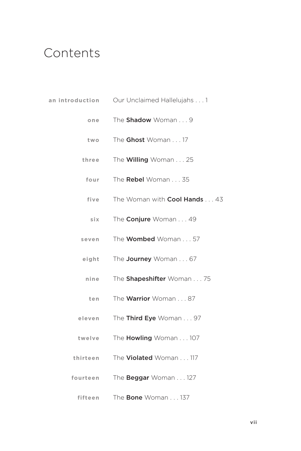## Contents

| an introduction | Our Unclaimed Hallelujahs 1         |
|-----------------|-------------------------------------|
| one             | The Shadow Woman 9                  |
| two             | The Ghost Woman 17                  |
| three           | The <b>Willing</b> Woman 25         |
| four            | The Rebel Woman 35                  |
| five            | The Woman with <b>Cool Hands</b> 43 |
| six             | The <b>Conjure</b> Woman 49         |
| seven           | The <b>Wombed</b> Woman 57          |
| eight           | The <b>Journey</b> Woman 67         |
| nine            | The <b>Shapeshifter</b> Woman 75    |
| ten             | The <b>Warrior</b> Woman 87         |
| eleven          | The Third Eye Woman 97              |
| twelve          | The <b>Howling</b> Woman 107        |
| thirteen        | The <b>Violated</b> Woman 117       |
| fourteen        | The <b>Beggar</b> Woman 127         |

**fifteen**  The Bone Woman . . . 137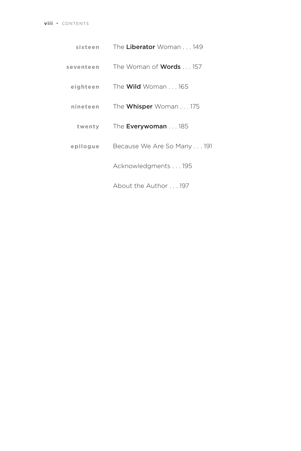| sixteen   | The Liberator Woman 149                |
|-----------|----------------------------------------|
| seventeen | The Woman of <b>Words</b> $\ldots$ 157 |
| eighteen  | The <b>Wild</b> Woman 165              |
| nineteen  | The <b>Whisper</b> Woman 175           |
| twenty    | The <b>Everywoman</b> 185              |
| epilogue  | Because We Are So Many 191             |
|           | Acknowledgments 195                    |
|           | About the Author 197                   |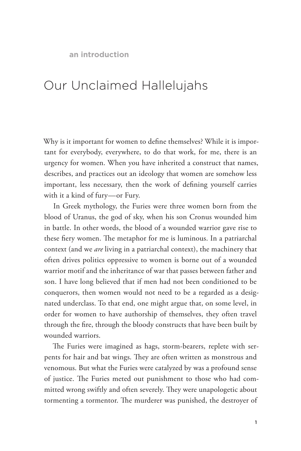**an introduction**

### Our Unclaimed Hallelujahs

Why is it important for women to define themselves? While it is important for everybody, everywhere, to do that work, for me, there is an urgency for women. When you have inherited a construct that names, describes, and practices out an ideology that women are somehow less important, less necessary, then the work of defining yourself carries with it a kind of fury—or Fury.

In Greek mythology, the Furies were three women born from the blood of Uranus, the god of sky, when his son Cronus wounded him in battle. In other words, the blood of a wounded warrior gave rise to these fiery women. The metaphor for me is luminous. In a patriarchal context (and we *are* living in a patriarchal context), the machinery that often drives politics oppressive to women is borne out of a wounded warrior motif and the inheritance of war that passes between father and son. I have long believed that if men had not been conditioned to be conquerors, then women would not need to be a regarded as a designated underclass. To that end, one might argue that, on some level, in order for women to have authorship of themselves, they often travel through the fire, through the bloody constructs that have been built by wounded warriors.

The Furies were imagined as hags, storm-bearers, replete with serpents for hair and bat wings. They are often written as monstrous and venomous. But what the Furies were catalyzed by was a profound sense of justice. The Furies meted out punishment to those who had committed wrong swiftly and often severely. They were unapologetic about tormenting a tormentor. The murderer was punished, the destroyer of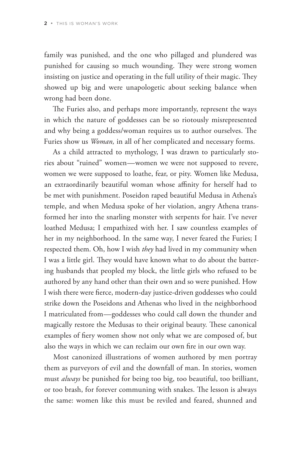family was punished, and the one who pillaged and plundered was punished for causing so much wounding. They were strong women insisting on justice and operating in the full utility of their magic. They showed up big and were unapologetic about seeking balance when wrong had been done.

The Furies also, and perhaps more importantly, represent the ways in which the nature of goddesses can be so riotously misrepresented and why being a goddess/woman requires us to author ourselves. The Furies show us *Woman,* in all of her complicated and necessary forms.

As a child attracted to mythology, I was drawn to particularly stories about "ruined" women—women we were not supposed to revere, women we were supposed to loathe, fear, or pity. Women like Medusa, an extraordinarily beautiful woman whose affinity for herself had to be met with punishment. Poseidon raped beautiful Medusa in Athena's temple, and when Medusa spoke of her violation, angry Athena transformed her into the snarling monster with serpents for hair. I've never loathed Medusa; I empathized with her. I saw countless examples of her in my neighborhood. In the same way, I never feared the Furies; I respected them. Oh, how I wish *they* had lived in my community when I was a little girl. They would have known what to do about the battering husbands that peopled my block, the little girls who refused to be authored by any hand other than their own and so were punished. How I wish there were fierce, modern-day justice-driven goddesses who could strike down the Poseidons and Athenas who lived in the neighborhood I matriculated from—goddesses who could call down the thunder and magically restore the Medusas to their original beauty. These canonical examples of fiery women show not only what we are composed of, but also the ways in which we can reclaim our own fire in our own way.

Most canonized illustrations of women authored by men portray them as purveyors of evil and the downfall of man. In stories, women must *always* be punished for being too big, too beautiful, too brilliant, or too brash, for forever communing with snakes. The lesson is always the same: women like this must be reviled and feared, shunned and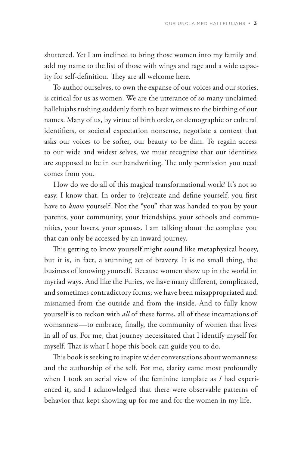shuttered. Yet I am inclined to bring those women into my family and add my name to the list of those with wings and rage and a wide capacity for self-definition. They are all welcome here.

To author ourselves, to own the expanse of our voices and our stories, is critical for us as women. We are the utterance of so many unclaimed hallelujahs rushing suddenly forth to bear witness to the birthing of our names. Many of us, by virtue of birth order, or demographic or cultural identifiers, or societal expectation nonsense, negotiate a context that asks our voices to be softer, our beauty to be dim. To regain access to our wide and widest selves, we must recognize that our identities are supposed to be in our handwriting. The only permission you need comes from you.

How do we do all of this magical transformational work? It's not so easy. I know that. In order to (re)create and define yourself, you first have to *know* yourself. Not the "you" that was handed to you by your parents, your community, your friendships, your schools and communities, your lovers, your spouses. I am talking about the complete you that can only be accessed by an inward journey.

This getting to know yourself might sound like metaphysical hooey, but it is, in fact, a stunning act of bravery. It is no small thing, the business of knowing yourself. Because women show up in the world in myriad ways. And like the Furies, we have many different, complicated, and sometimes contradictory forms; we have been misappropriated and misnamed from the outside and from the inside. And to fully know yourself is to reckon with *all* of these forms, all of these incarnations of womanness—to embrace, finally, the community of women that lives in all of us. For me, that journey necessitated that I identify myself for myself. That is what I hope this book can guide you to do.

This book is seeking to inspire wider conversations about womanness and the authorship of the self. For me, clarity came most profoundly when I took an aerial view of the feminine template as *I* had experienced it, and I acknowledged that there were observable patterns of behavior that kept showing up for me and for the women in my life.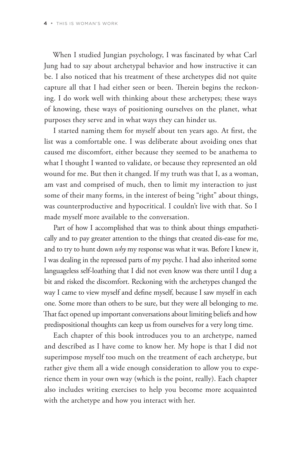When I studied Jungian psychology, I was fascinated by what Carl Jung had to say about archetypal behavior and how instructive it can be. I also noticed that his treatment of these archetypes did not quite capture all that I had either seen or been. Therein begins the reckoning. I do work well with thinking about these archetypes; these ways of knowing, these ways of positioning ourselves on the planet, what purposes they serve and in what ways they can hinder us.

I started naming them for myself about ten years ago. At first, the list was a comfortable one. I was deliberate about avoiding ones that caused me discomfort, either because they seemed to be anathema to what I thought I wanted to validate, or because they represented an old wound for me. But then it changed. If my truth was that I, as a woman, am vast and comprised of much, then to limit my interaction to just some of their many forms, in the interest of being "right" about things, was counterproductive and hypocritical. I couldn't live with that. So I made myself more available to the conversation.

Part of how I accomplished that was to think about things empathetically and to pay greater attention to the things that created dis-ease for me, and to try to hunt down *why* my response was what it was. Before I knew it, I was dealing in the repressed parts of my psyche. I had also inherited some languageless self-loathing that I did not even know was there until I dug a bit and risked the discomfort. Reckoning with the archetypes changed the way I came to view myself and define myself, because I saw myself in each one. Some more than others to be sure, but they were all belonging to me. That fact opened up important conversations about limiting beliefs and how predispositional thoughts can keep us from ourselves for a very long time.

Each chapter of this book introduces you to an archetype, named and described as I have come to know her. My hope is that I did not superimpose myself too much on the treatment of each archetype, but rather give them all a wide enough consideration to allow you to experience them in your own way (which is the point, really). Each chapter also includes writing exercises to help you become more acquainted with the archetype and how you interact with her.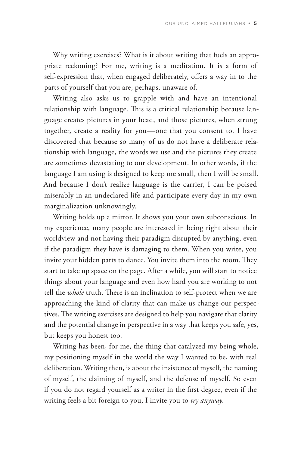Why writing exercises? What is it about writing that fuels an appropriate reckoning? For me, writing is a meditation. It is a form of self-expression that, when engaged deliberately, offers a way in to the parts of yourself that you are, perhaps, unaware of.

Writing also asks us to grapple with and have an intentional relationship with language. This is a critical relationship because language creates pictures in your head, and those pictures, when strung together, create a reality for you—one that you consent to. I have discovered that because so many of us do not have a deliberate relationship with language, the words we use and the pictures they create are sometimes devastating to our development. In other words, if the language I am using is designed to keep me small, then I will be small. And because I don't realize language is the carrier, I can be poised miserably in an undeclared life and participate every day in my own marginalization unknowingly.

Writing holds up a mirror. It shows you your own subconscious. In my experience, many people are interested in being right about their worldview and not having their paradigm disrupted by anything, even if the paradigm they have is damaging to them. When you write, you invite your hidden parts to dance. You invite them into the room. They start to take up space on the page. After a while, you will start to notice things about your language and even how hard you are working to not tell the *whole* truth. There is an inclination to self-protect when we are approaching the kind of clarity that can make us change our perspectives. The writing exercises are designed to help you navigate that clarity and the potential change in perspective in a way that keeps you safe, yes, but keeps you honest too.

Writing has been, for me, the thing that catalyzed my being whole, my positioning myself in the world the way I wanted to be, with real deliberation. Writing then, is about the insistence of myself, the naming of myself, the claiming of myself, and the defense of myself. So even if you do not regard yourself as a writer in the first degree, even if the writing feels a bit foreign to you, I invite you to *try anyway.*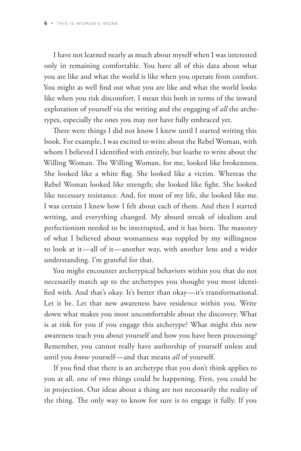I have not learned nearly as much about myself when I was interested only in remaining comfortable. You have all of this data about what you are like and what the world is like when you operate from comfort. You might as well find out what you are like and what the world looks like when you risk discomfort. I mean this both in terms of the inward exploration of yourself via the writing and the engaging of *all* the archetypes, especially the ones you may not have fully embraced yet.

There were things I did not know I knew until I started writing this book. For example, I was excited to write about the Rebel Woman, with whom I believed I identified with entirely, but loathe to write about the Willing Woman. The Willing Woman, for me, looked like brokenness. She looked like a white flag. She looked like a victim. Whereas the Rebel Woman looked like strength; she looked like fight. She looked like necessary resistance. And, for most of my life, she looked like me. I was certain I knew how I felt about each of them. And then I started writing, and everything changed. My absurd streak of idealism and perfectionism needed to be interrupted, and it has been. The masonry of what I believed about womanness was toppled by my willingness to look at it—all of it—another way, with another lens and a wider understanding. I'm grateful for that.

You might encounter archetypical behaviors within you that do not necessarily match up to the archetypes you thought you most identified with. And that's okay. It's better than okay—it's transformational. Let it be. Let that new awareness have residence within you. Write down what makes you most uncomfortable about the discovery. What is at risk for you if you engage this archetype? What might this new awareness teach you about yourself and how you have been processing? Remember, you cannot really have authorship of yourself unless and until you *know* yourself—and that means *all* of yourself.

If you find that there is an archetype that you don't think applies to you at all, one of two things could be happening. First, you could be in projection. Our ideas about a thing are not necessarily the reality of the thing. The only way to know for sure is to engage it fully. If you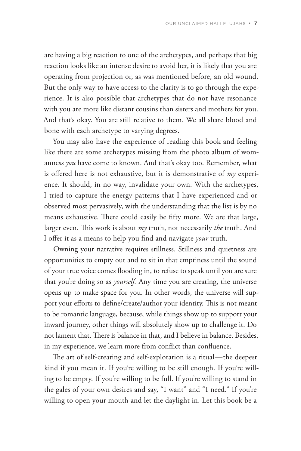are having a big reaction to one of the archetypes, and perhaps that big reaction looks like an intense desire to avoid her, it is likely that you are operating from projection or, as was mentioned before, an old wound. But the only way to have access to the clarity is to go through the experience. It is also possible that archetypes that do not have resonance with you are more like distant cousins than sisters and mothers for you. And that's okay. You are still relative to them. We all share blood and bone with each archetype to varying degrees.

You may also have the experience of reading this book and feeling like there are some archetypes missing from the photo album of womanness *you* have come to known. And that's okay too. Remember, what is offered here is not exhaustive, but it is demonstrative of *my* experience. It should, in no way, invalidate your own. With the archetypes, I tried to capture the energy patterns that I have experienced and or observed most pervasively, with the understanding that the list is by no means exhaustive. There could easily be fifty more. We are that large, larger even. This work is about *my* truth, not necessarily *the* truth. And I offer it as a means to help you find and navigate *your* truth.

Owning your narrative requires stillness. Stillness and quietness are opportunities to empty out and to sit in that emptiness until the sound of your true voice comes flooding in, to refuse to speak until you are sure that you're doing so as *yourself.* Any time you are creating, the universe opens up to make space for you. In other words, the universe will support your efforts to define/create/author your identity. This is not meant to be romantic language, because, while things show up to support your inward journey, other things will absolutely show up to challenge it. Do not lament that. There is balance in that, and I believe in balance. Besides, in my experience, we learn more from conflict than confluence.

The art of self-creating and self-exploration is a ritual—the deepest kind if you mean it. If you're willing to be still enough. If you're willing to be empty. If you're willing to be full. If you're willing to stand in the gales of your own desires and say, "I want" and "I need." If you're willing to open your mouth and let the daylight in. Let this book be a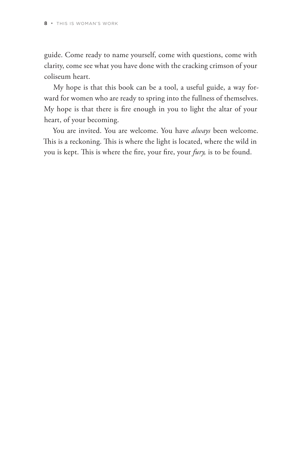guide. Come ready to name yourself, come with questions, come with clarity, come see what you have done with the cracking crimson of your coliseum heart.

My hope is that this book can be a tool, a useful guide, a way forward for women who are ready to spring into the fullness of themselves. My hope is that there is fire enough in you to light the altar of your heart, of your becoming.

You are invited. You are welcome. You have *always* been welcome. This is a reckoning. This is where the light is located, where the wild in you is kept. This is where the fire, your fire, your *fury,* is to be found.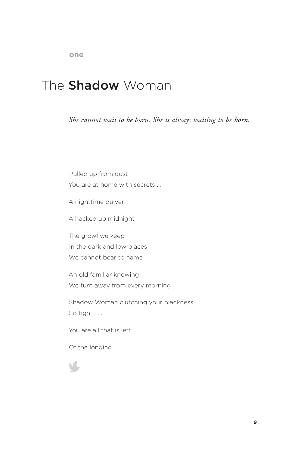### The **Shadow** Woman

*She cannot wait to be born. She is always waiting to be born.*

Pulled up from dust You are at home with secrets . . .

A nighttime quiver

A hacked up midnight

The growl we keep In the dark and low places We cannot bear to name

An old familiar knowing We turn away from every morning

Shadow Woman clutching your blackness So tight . . .

You are all that is left

Of the longing